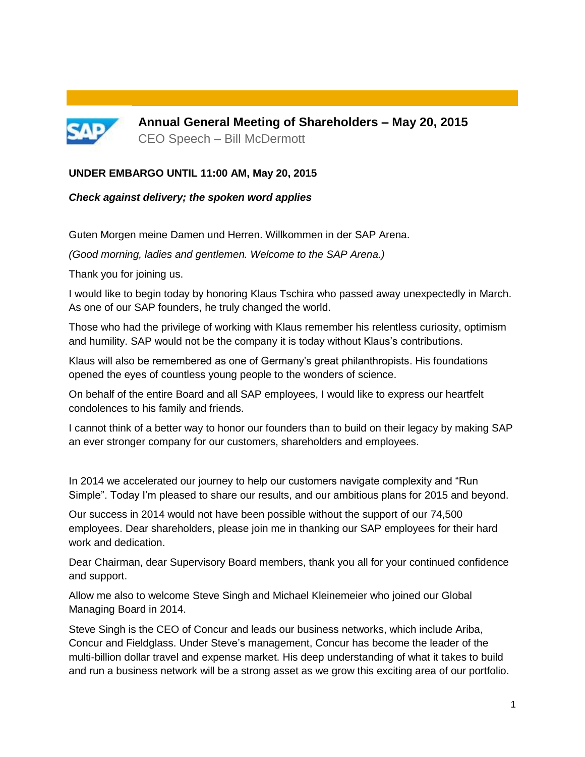

**Annual General Meeting of Shareholders – May 20, 2015** CEO Speech – Bill McDermott

### **UNDER EMBARGO UNTIL 11:00 AM, May 20, 2015**

#### *Check against delivery; the spoken word applies*

Guten Morgen meine Damen und Herren. Willkommen in der SAP Arena.

*(Good morning, ladies and gentlemen. Welcome to the SAP Arena.)*

Thank you for joining us.

I would like to begin today by honoring Klaus Tschira who passed away unexpectedly in March. As one of our SAP founders, he truly changed the world.

Those who had the privilege of working with Klaus remember his relentless curiosity, optimism and humility. SAP would not be the company it is today without Klaus's contributions.

Klaus will also be remembered as one of Germany's great philanthropists. His foundations opened the eyes of countless young people to the wonders of science.

On behalf of the entire Board and all SAP employees, I would like to express our heartfelt condolences to his family and friends.

I cannot think of a better way to honor our founders than to build on their legacy by making SAP an ever stronger company for our customers, shareholders and employees.

In 2014 we accelerated our journey to help our customers navigate complexity and "Run Simple". Today I'm pleased to share our results, and our ambitious plans for 2015 and beyond.

Our success in 2014 would not have been possible without the support of our 74,500 employees. Dear shareholders, please join me in thanking our SAP employees for their hard work and dedication.

Dear Chairman, dear Supervisory Board members, thank you all for your continued confidence and support.

Allow me also to welcome Steve Singh and Michael Kleinemeier who joined our Global Managing Board in 2014.

Steve Singh is the CEO of Concur and leads our business networks, which include Ariba, Concur and Fieldglass. Under Steve's management, Concur has become the leader of the multi-billion dollar travel and expense market. His deep understanding of what it takes to build and run a business network will be a strong asset as we grow this exciting area of our portfolio.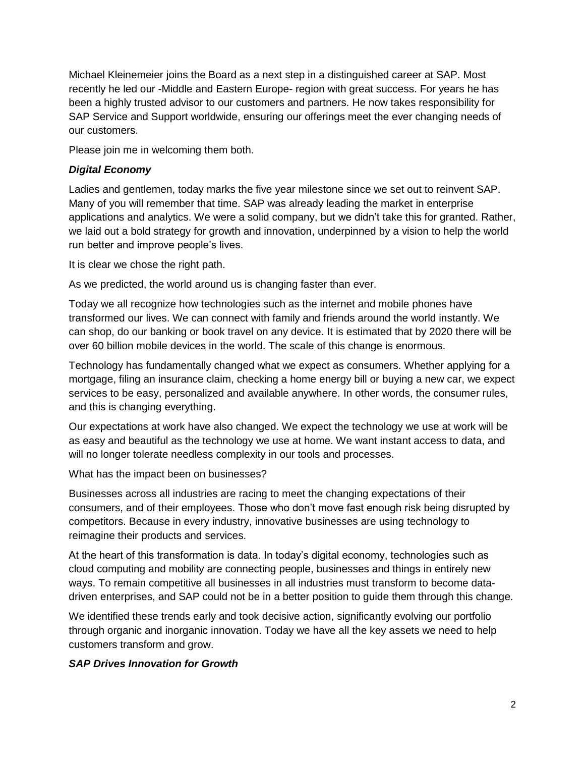Michael Kleinemeier joins the Board as a next step in a distinguished career at SAP. Most recently he led our -Middle and Eastern Europe- region with great success. For years he has been a highly trusted advisor to our customers and partners. He now takes responsibility for SAP Service and Support worldwide, ensuring our offerings meet the ever changing needs of our customers.

Please join me in welcoming them both.

### *Digital Economy*

Ladies and gentlemen, today marks the five year milestone since we set out to reinvent SAP. Many of you will remember that time. SAP was already leading the market in enterprise applications and analytics. We were a solid company, but we didn't take this for granted. Rather, we laid out a bold strategy for growth and innovation, underpinned by a vision to help the world run better and improve people's lives.

It is clear we chose the right path.

As we predicted, the world around us is changing faster than ever.

Today we all recognize how technologies such as the internet and mobile phones have transformed our lives. We can connect with family and friends around the world instantly. We can shop, do our banking or book travel on any device. It is estimated that by 2020 there will be over 60 billion mobile devices in the world. The scale of this change is enormous.

Technology has fundamentally changed what we expect as consumers. Whether applying for a mortgage, filing an insurance claim, checking a home energy bill or buying a new car, we expect services to be easy, personalized and available anywhere. In other words, the consumer rules, and this is changing everything.

Our expectations at work have also changed. We expect the technology we use at work will be as easy and beautiful as the technology we use at home. We want instant access to data, and will no longer tolerate needless complexity in our tools and processes.

What has the impact been on businesses?

Businesses across all industries are racing to meet the changing expectations of their consumers, and of their employees. Those who don't move fast enough risk being disrupted by competitors. Because in every industry, innovative businesses are using technology to reimagine their products and services.

At the heart of this transformation is data. In today's digital economy, technologies such as cloud computing and mobility are connecting people, businesses and things in entirely new ways. To remain competitive all businesses in all industries must transform to become datadriven enterprises, and SAP could not be in a better position to guide them through this change.

We identified these trends early and took decisive action, significantly evolving our portfolio through organic and inorganic innovation. Today we have all the key assets we need to help customers transform and grow.

## *SAP Drives Innovation for Growth*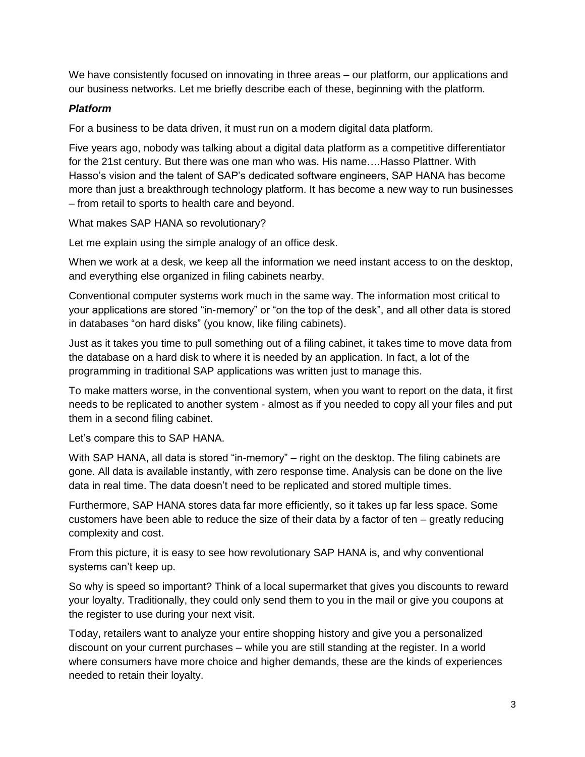We have consistently focused on innovating in three areas – our platform, our applications and our business networks. Let me briefly describe each of these, beginning with the platform.

## *Platform*

For a business to be data driven, it must run on a modern digital data platform.

Five years ago, nobody was talking about a digital data platform as a competitive differentiator for the 21st century. But there was one man who was. His name….Hasso Plattner. With Hasso's vision and the talent of SAP's dedicated software engineers, SAP HANA has become more than just a breakthrough technology platform. It has become a new way to run businesses – from retail to sports to health care and beyond.

What makes SAP HANA so revolutionary?

Let me explain using the simple analogy of an office desk.

When we work at a desk, we keep all the information we need instant access to on the desktop, and everything else organized in filing cabinets nearby.

Conventional computer systems work much in the same way. The information most critical to your applications are stored "in-memory" or "on the top of the desk", and all other data is stored in databases "on hard disks" (you know, like filing cabinets).

Just as it takes you time to pull something out of a filing cabinet, it takes time to move data from the database on a hard disk to where it is needed by an application. In fact, a lot of the programming in traditional SAP applications was written just to manage this.

To make matters worse, in the conventional system, when you want to report on the data, it first needs to be replicated to another system - almost as if you needed to copy all your files and put them in a second filing cabinet.

Let's compare this to SAP HANA.

With SAP HANA, all data is stored "in-memory" – right on the desktop. The filing cabinets are gone. All data is available instantly, with zero response time. Analysis can be done on the live data in real time. The data doesn't need to be replicated and stored multiple times.

Furthermore, SAP HANA stores data far more efficiently, so it takes up far less space. Some customers have been able to reduce the size of their data by a factor of ten – greatly reducing complexity and cost.

From this picture, it is easy to see how revolutionary SAP HANA is, and why conventional systems can't keep up.

So why is speed so important? Think of a local supermarket that gives you discounts to reward your loyalty. Traditionally, they could only send them to you in the mail or give you coupons at the register to use during your next visit.

Today, retailers want to analyze your entire shopping history and give you a personalized discount on your current purchases – while you are still standing at the register. In a world where consumers have more choice and higher demands, these are the kinds of experiences needed to retain their loyalty.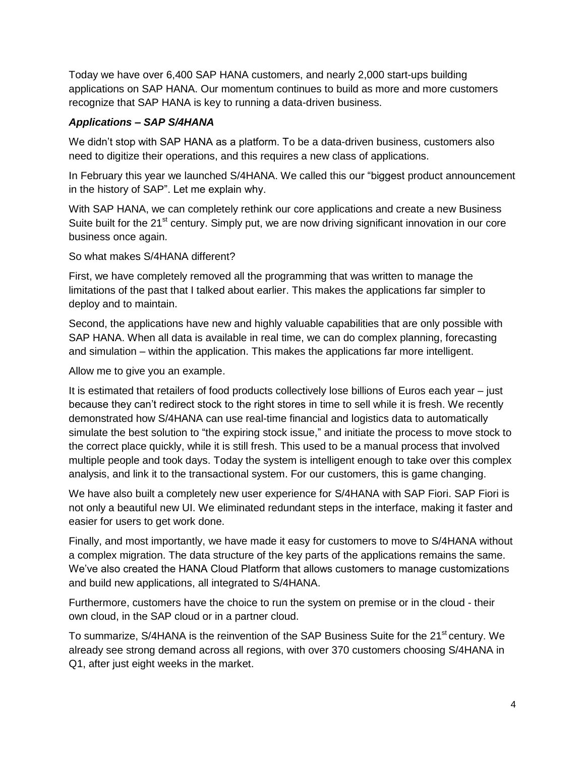Today we have over 6,400 SAP HANA customers, and nearly 2,000 start-ups building applications on SAP HANA. Our momentum continues to build as more and more customers recognize that SAP HANA is key to running a data-driven business.

### *Applications – SAP S/4HANA*

We didn't stop with SAP HANA as a platform. To be a data-driven business, customers also need to digitize their operations, and this requires a new class of applications.

In February this year we launched S/4HANA. We called this our "biggest product announcement in the history of SAP". Let me explain why.

With SAP HANA, we can completely rethink our core applications and create a new Business Suite built for the  $21<sup>st</sup>$  century. Simply put, we are now driving significant innovation in our core business once again.

So what makes S/4HANA different?

First, we have completely removed all the programming that was written to manage the limitations of the past that I talked about earlier. This makes the applications far simpler to deploy and to maintain.

Second, the applications have new and highly valuable capabilities that are only possible with SAP HANA. When all data is available in real time, we can do complex planning, forecasting and simulation – within the application. This makes the applications far more intelligent.

Allow me to give you an example.

It is estimated that retailers of food products collectively lose billions of Euros each year – just because they can't redirect stock to the right stores in time to sell while it is fresh. We recently demonstrated how S/4HANA can use real-time financial and logistics data to automatically simulate the best solution to "the expiring stock issue," and initiate the process to move stock to the correct place quickly, while it is still fresh. This used to be a manual process that involved multiple people and took days. Today the system is intelligent enough to take over this complex analysis, and link it to the transactional system. For our customers, this is game changing.

We have also built a completely new user experience for S/4HANA with SAP Fiori. SAP Fiori is not only a beautiful new UI. We eliminated redundant steps in the interface, making it faster and easier for users to get work done.

Finally, and most importantly, we have made it easy for customers to move to S/4HANA without a complex migration. The data structure of the key parts of the applications remains the same. We've also created the HANA Cloud Platform that allows customers to manage customizations and build new applications, all integrated to S/4HANA.

Furthermore, customers have the choice to run the system on premise or in the cloud - their own cloud, in the SAP cloud or in a partner cloud.

To summarize, S/4HANA is the reinvention of the SAP Business Suite for the 21<sup>st</sup> century. We already see strong demand across all regions, with over 370 customers choosing S/4HANA in Q1, after just eight weeks in the market.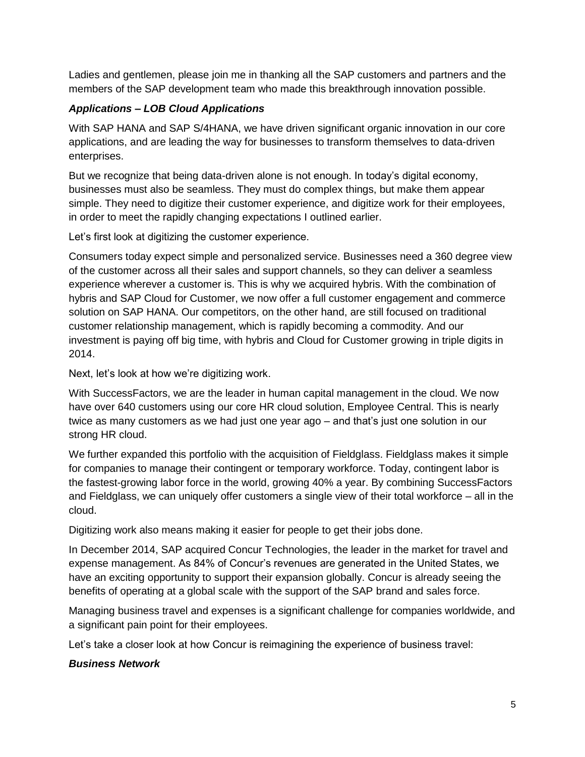Ladies and gentlemen, please join me in thanking all the SAP customers and partners and the members of the SAP development team who made this breakthrough innovation possible.

# *Applications – LOB Cloud Applications*

With SAP HANA and SAP S/4HANA, we have driven significant organic innovation in our core applications, and are leading the way for businesses to transform themselves to data-driven enterprises.

But we recognize that being data-driven alone is not enough. In today's digital economy, businesses must also be seamless. They must do complex things, but make them appear simple. They need to digitize their customer experience, and digitize work for their employees, in order to meet the rapidly changing expectations I outlined earlier.

Let's first look at digitizing the customer experience.

Consumers today expect simple and personalized service. Businesses need a 360 degree view of the customer across all their sales and support channels, so they can deliver a seamless experience wherever a customer is. This is why we acquired hybris. With the combination of hybris and SAP Cloud for Customer, we now offer a full customer engagement and commerce solution on SAP HANA. Our competitors, on the other hand, are still focused on traditional customer relationship management, which is rapidly becoming a commodity. And our investment is paying off big time, with hybris and Cloud for Customer growing in triple digits in 2014.

Next, let's look at how we're digitizing work.

With SuccessFactors, we are the leader in human capital management in the cloud. We now have over 640 customers using our core HR cloud solution, Employee Central. This is nearly twice as many customers as we had just one year ago – and that's just one solution in our strong HR cloud.

We further expanded this portfolio with the acquisition of Fieldglass. Fieldglass makes it simple for companies to manage their contingent or temporary workforce. Today, contingent labor is the fastest-growing labor force in the world, growing 40% a year. By combining SuccessFactors and Fieldglass, we can uniquely offer customers a single view of their total workforce – all in the cloud.

Digitizing work also means making it easier for people to get their jobs done.

In December 2014, SAP acquired Concur Technologies, the leader in the market for travel and expense management. As 84% of Concur's revenues are generated in the United States, we have an exciting opportunity to support their expansion globally. Concur is already seeing the benefits of operating at a global scale with the support of the SAP brand and sales force.

Managing business travel and expenses is a significant challenge for companies worldwide, and a significant pain point for their employees.

Let's take a closer look at how Concur is reimagining the experience of business travel:

#### *Business Network*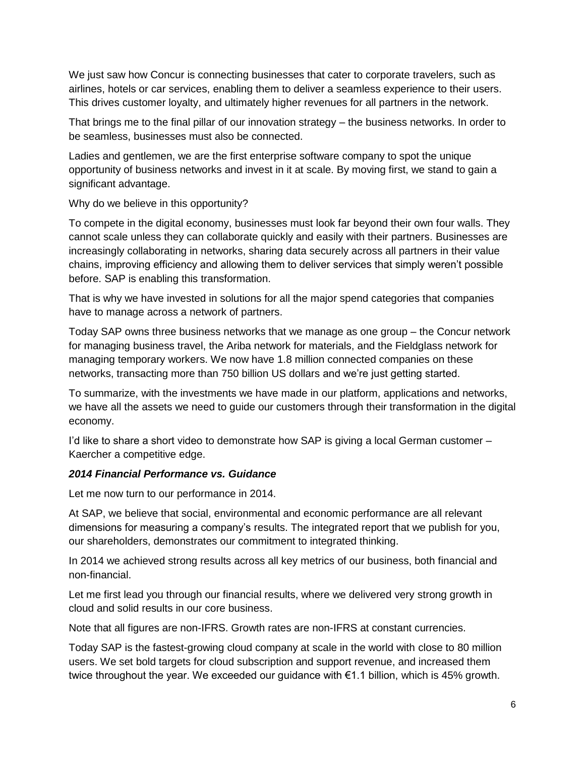We just saw how Concur is connecting businesses that cater to corporate travelers, such as airlines, hotels or car services, enabling them to deliver a seamless experience to their users. This drives customer loyalty, and ultimately higher revenues for all partners in the network.

That brings me to the final pillar of our innovation strategy – the business networks. In order to be seamless, businesses must also be connected.

Ladies and gentlemen, we are the first enterprise software company to spot the unique opportunity of business networks and invest in it at scale. By moving first, we stand to gain a significant advantage.

Why do we believe in this opportunity?

To compete in the digital economy, businesses must look far beyond their own four walls. They cannot scale unless they can collaborate quickly and easily with their partners. Businesses are increasingly collaborating in networks, sharing data securely across all partners in their value chains, improving efficiency and allowing them to deliver services that simply weren't possible before. SAP is enabling this transformation.

That is why we have invested in solutions for all the major spend categories that companies have to manage across a network of partners.

Today SAP owns three business networks that we manage as one group – the Concur network for managing business travel, the Ariba network for materials, and the Fieldglass network for managing temporary workers. We now have 1.8 million connected companies on these networks, transacting more than 750 billion US dollars and we're just getting started.

To summarize, with the investments we have made in our platform, applications and networks, we have all the assets we need to guide our customers through their transformation in the digital economy.

I'd like to share a short video to demonstrate how SAP is giving a local German customer -Kaercher a competitive edge.

#### *2014 Financial Performance vs. Guidance*

Let me now turn to our performance in 2014.

At SAP, we believe that social, environmental and economic performance are all relevant dimensions for measuring a company's results. The integrated report that we publish for you, our shareholders, demonstrates our commitment to integrated thinking.

In 2014 we achieved strong results across all key metrics of our business, both financial and non-financial.

Let me first lead you through our financial results, where we delivered very strong growth in cloud and solid results in our core business.

Note that all figures are non-IFRS. Growth rates are non-IFRS at constant currencies.

Today SAP is the fastest-growing cloud company at scale in the world with close to 80 million users. We set bold targets for cloud subscription and support revenue, and increased them twice throughout the year. We exceeded our guidance with €1.1 billion, which is 45% growth.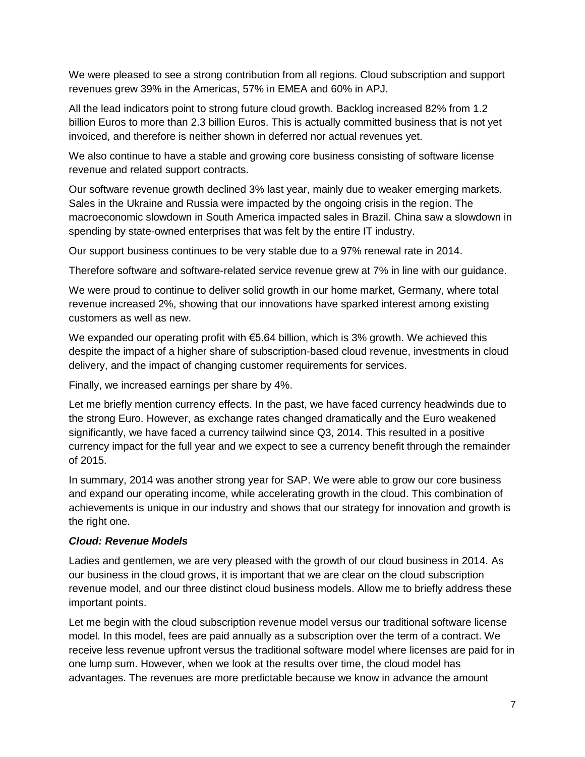We were pleased to see a strong contribution from all regions. Cloud subscription and support revenues grew 39% in the Americas, 57% in EMEA and 60% in APJ.

All the lead indicators point to strong future cloud growth. Backlog increased 82% from 1.2 billion Euros to more than 2.3 billion Euros. This is actually committed business that is not yet invoiced, and therefore is neither shown in deferred nor actual revenues yet.

We also continue to have a stable and growing core business consisting of software license revenue and related support contracts.

Our software revenue growth declined 3% last year, mainly due to weaker emerging markets. Sales in the Ukraine and Russia were impacted by the ongoing crisis in the region. The macroeconomic slowdown in South America impacted sales in Brazil. China saw a slowdown in spending by state-owned enterprises that was felt by the entire IT industry.

Our support business continues to be very stable due to a 97% renewal rate in 2014.

Therefore software and software-related service revenue grew at 7% in line with our guidance.

We were proud to continue to deliver solid growth in our home market, Germany, where total revenue increased 2%, showing that our innovations have sparked interest among existing customers as well as new.

We expanded our operating profit with  $\epsilon$ 5.64 billion, which is 3% growth. We achieved this despite the impact of a higher share of subscription-based cloud revenue, investments in cloud delivery, and the impact of changing customer requirements for services.

Finally, we increased earnings per share by 4%.

Let me briefly mention currency effects. In the past, we have faced currency headwinds due to the strong Euro. However, as exchange rates changed dramatically and the Euro weakened significantly, we have faced a currency tailwind since Q3, 2014. This resulted in a positive currency impact for the full year and we expect to see a currency benefit through the remainder of 2015.

In summary, 2014 was another strong year for SAP. We were able to grow our core business and expand our operating income, while accelerating growth in the cloud. This combination of achievements is unique in our industry and shows that our strategy for innovation and growth is the right one.

## *Cloud: Revenue Models*

Ladies and gentlemen, we are very pleased with the growth of our cloud business in 2014. As our business in the cloud grows, it is important that we are clear on the cloud subscription revenue model, and our three distinct cloud business models. Allow me to briefly address these important points.

Let me begin with the cloud subscription revenue model versus our traditional software license model. In this model, fees are paid annually as a subscription over the term of a contract. We receive less revenue upfront versus the traditional software model where licenses are paid for in one lump sum. However, when we look at the results over time, the cloud model has advantages. The revenues are more predictable because we know in advance the amount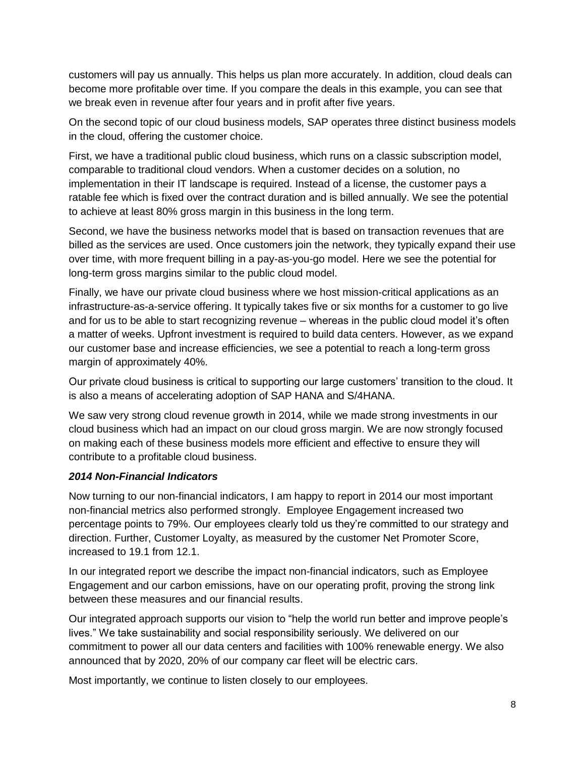customers will pay us annually. This helps us plan more accurately. In addition, cloud deals can become more profitable over time. If you compare the deals in this example, you can see that we break even in revenue after four years and in profit after five years.

On the second topic of our cloud business models, SAP operates three distinct business models in the cloud, offering the customer choice.

First, we have a traditional public cloud business, which runs on a classic subscription model, comparable to traditional cloud vendors. When a customer decides on a solution, no implementation in their IT landscape is required. Instead of a license, the customer pays a ratable fee which is fixed over the contract duration and is billed annually. We see the potential to achieve at least 80% gross margin in this business in the long term.

Second, we have the business networks model that is based on transaction revenues that are billed as the services are used. Once customers join the network, they typically expand their use over time, with more frequent billing in a pay-as-you-go model. Here we see the potential for long-term gross margins similar to the public cloud model.

Finally, we have our private cloud business where we host mission-critical applications as an infrastructure-as-a-service offering. It typically takes five or six months for a customer to go live and for us to be able to start recognizing revenue – whereas in the public cloud model it's often a matter of weeks. Upfront investment is required to build data centers. However, as we expand our customer base and increase efficiencies, we see a potential to reach a long-term gross margin of approximately 40%.

Our private cloud business is critical to supporting our large customers' transition to the cloud. It is also a means of accelerating adoption of SAP HANA and S/4HANA.

We saw very strong cloud revenue growth in 2014, while we made strong investments in our cloud business which had an impact on our cloud gross margin. We are now strongly focused on making each of these business models more efficient and effective to ensure they will contribute to a profitable cloud business.

## *2014 Non-Financial Indicators*

Now turning to our non-financial indicators, I am happy to report in 2014 our most important non-financial metrics also performed strongly. Employee Engagement increased two percentage points to 79%. Our employees clearly told us they're committed to our strategy and direction. Further, Customer Loyalty, as measured by the customer Net Promoter Score, increased to 19.1 from 12.1.

In our integrated report we describe the impact non-financial indicators, such as Employee Engagement and our carbon emissions, have on our operating profit, proving the strong link between these measures and our financial results.

Our integrated approach supports our vision to "help the world run better and improve people's lives." We take sustainability and social responsibility seriously. We delivered on our commitment to power all our data centers and facilities with 100% renewable energy. We also announced that by 2020, 20% of our company car fleet will be electric cars.

Most importantly, we continue to listen closely to our employees.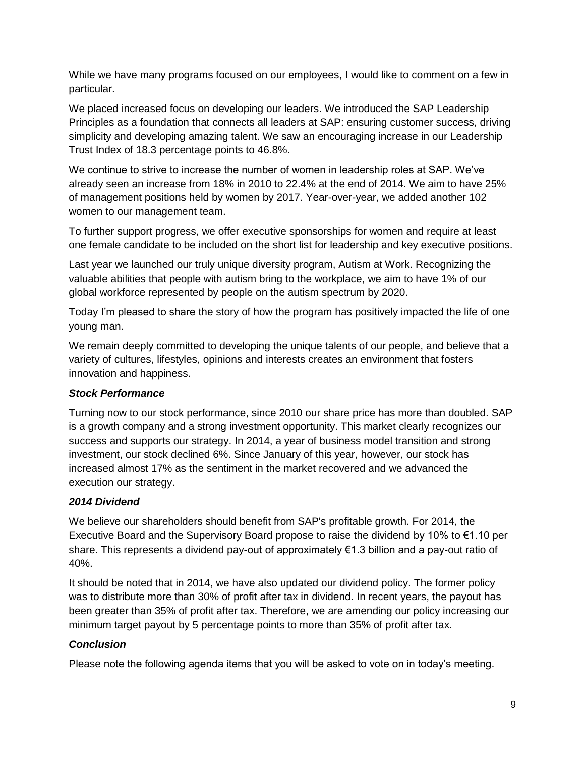While we have many programs focused on our employees, I would like to comment on a few in particular.

We placed increased focus on developing our leaders. We introduced the SAP Leadership Principles as a foundation that connects all leaders at SAP: ensuring customer success, driving simplicity and developing amazing talent. We saw an encouraging increase in our Leadership Trust Index of 18.3 percentage points to 46.8%.

We continue to strive to increase the number of women in leadership roles at SAP. We've already seen an increase from 18% in 2010 to 22.4% at the end of 2014. We aim to have 25% of management positions held by women by 2017. Year-over-year, we added another 102 women to our management team.

To further support progress, we offer executive sponsorships for women and require at least one female candidate to be included on the short list for leadership and key executive positions.

Last year we launched our truly unique diversity program, Autism at Work. Recognizing the valuable abilities that people with autism bring to the workplace, we aim to have 1% of our global workforce represented by people on the autism spectrum by 2020.

Today I'm pleased to share the story of how the program has positively impacted the life of one young man.

We remain deeply committed to developing the unique talents of our people, and believe that a variety of cultures, lifestyles, opinions and interests creates an environment that fosters innovation and happiness.

## *Stock Performance*

Turning now to our stock performance, since 2010 our share price has more than doubled. SAP is a growth company and a strong investment opportunity. This market clearly recognizes our success and supports our strategy. In 2014, a year of business model transition and strong investment, our stock declined 6%. Since January of this year, however, our stock has increased almost 17% as the sentiment in the market recovered and we advanced the execution our strategy.

## *2014 Dividend*

We believe our shareholders should benefit from SAP's profitable growth. For 2014, the Executive Board and the Supervisory Board propose to raise the dividend by 10% to €1.10 per share. This represents a dividend pay-out of approximately €1.3 billion and a pay-out ratio of 40%.

It should be noted that in 2014, we have also updated our dividend policy. The former policy was to distribute more than 30% of profit after tax in dividend. In recent years, the payout has been greater than 35% of profit after tax. Therefore, we are amending our policy increasing our minimum target payout by 5 percentage points to more than 35% of profit after tax.

## *Conclusion*

Please note the following agenda items that you will be asked to vote on in today's meeting.